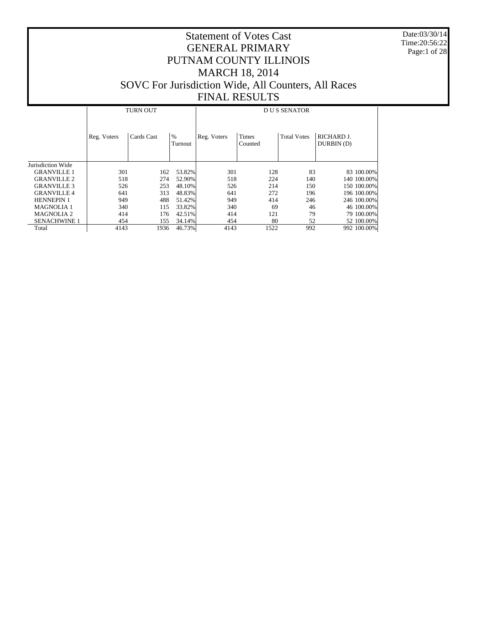Date:03/30/14 Time:20:56:22 Page:1 of 28

|                     | <b>TURN OUT</b> |            |                 | <b>DUS SENATOR</b> |                         |                    |                         |
|---------------------|-----------------|------------|-----------------|--------------------|-------------------------|--------------------|-------------------------|
|                     | Reg. Voters     | Cards Cast | $\%$<br>Turnout | Reg. Voters        | <b>Times</b><br>Counted | <b>Total Votes</b> | RICHARD J.<br>DURBIN(D) |
| Jurisdiction Wide   |                 |            |                 |                    |                         |                    |                         |
| <b>GRANVILLE 1</b>  | 301             | 162        | 53.82%          | 301                | 128                     | 83                 | 83 100,00%              |
| <b>GRANVILLE 2</b>  | 518             | 274        | 52.90%          | 518                | 224                     | 140                | 140 100.00%             |
| <b>GRANVILLE 3</b>  | 526             | 253        | 48.10%          | 526                | 214                     | 150                | 150 100.00%             |
| <b>GRANVILLE 4</b>  | 641             | 313        | 48.83%          | 641                | 272                     | 196                | 196 100.00%             |
| <b>HENNEPIN 1</b>   | 949             | 488        | 51.42%          | 949                | 414                     | 246                | 246 100.00%             |
| <b>MAGNOLIA 1</b>   | 340             | 115        | 33.82%          | 340                | 69                      | 46                 | 46 100,00%              |
| <b>MAGNOLIA 2</b>   | 414             | 176        | 42.51%          | 414                | 121                     | 79                 | 79 100.00%              |
| <b>SENACHWINE 1</b> | 454             | 155        | 34.14%          | 454                | 80                      | 52                 | 52 100.00%              |
| Total               | 4143            | 1936       | 46.73%          | 4143               | 1522                    | 992                | 992 100.00%             |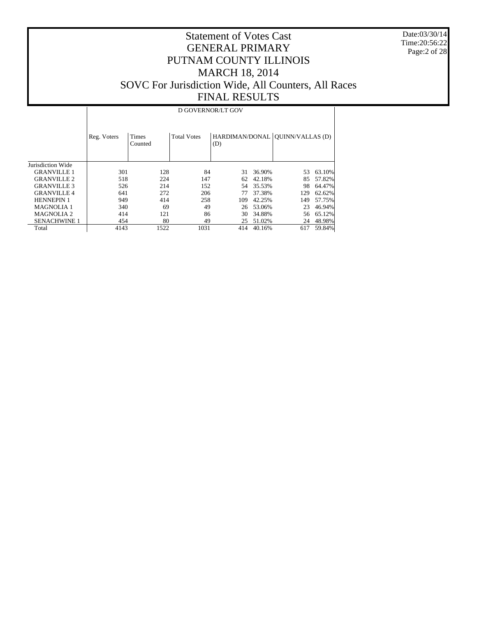Date:03/30/14 Time:20:56:22 Page:2 of 28

## Statement of Votes Cast GENERAL PRIMARY PUTNAM COUNTY ILLINOIS MARCH 18, 2014 SOVC For Jurisdiction Wide, All Counters, All Races FINAL RESULTS

#### D GOVERNOR/LT GOV

|                     | Reg. Voters | <b>Times</b><br>Counted | <b>Total Votes</b> | (D) |        | HARDIMAN/DONAL   QUINN/VALLAS (D) |        |
|---------------------|-------------|-------------------------|--------------------|-----|--------|-----------------------------------|--------|
| Jurisdiction Wide   |             |                         |                    |     |        |                                   |        |
| <b>GRANVILLE 1</b>  | 301         | 128                     | 84                 | 31  | 36.90% | 53                                | 63.10% |
| <b>GRANVILLE 2</b>  | 518         | 224                     | 147                | 62  | 42.18% | 85                                | 57.82% |
| <b>GRANVILLE 3</b>  | 526         | 214                     | 152                | 54  | 35.53% | 98                                | 64.47% |
| <b>GRANVILLE4</b>   | 641         | 272                     | 206                | 77  | 37.38% | 129                               | 62.62% |
| <b>HENNEPIN 1</b>   | 949         | 414                     | 258                | 109 | 42.25% | 149                               | 57.75% |
| <b>MAGNOLIA 1</b>   | 340         | 69                      | 49                 | 26  | 53.06% | 23                                | 46.94% |
| <b>MAGNOLIA 2</b>   | 414         | 121                     | 86                 | 30  | 34.88% | 56                                | 65.12% |
| <b>SENACHWINE 1</b> | 454         | 80                      | 49                 | 25  | 51.02% | 24                                | 48.98% |
| Total               | 4143        | 1522                    | 1031               | 414 | 40.16% | 617                               | 59.84% |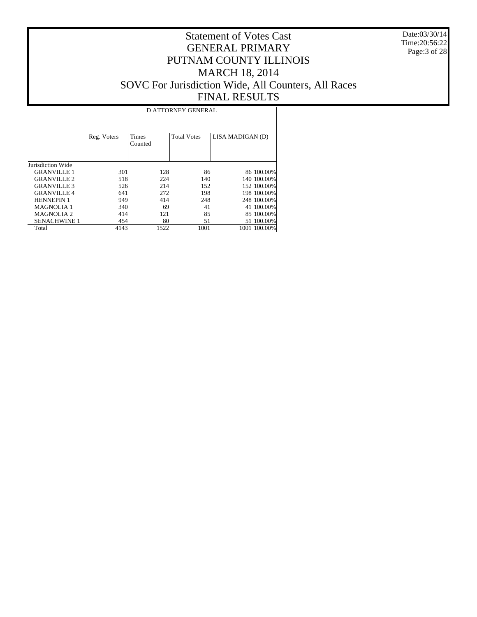Date:03/30/14 Time:20:56:22 Page:3 of 28

|                     | D ATTORNEY GENERAL |                         |                    |                  |  |  |  |
|---------------------|--------------------|-------------------------|--------------------|------------------|--|--|--|
|                     | Reg. Voters        | <b>Times</b><br>Counted | <b>Total Votes</b> | LISA MADIGAN (D) |  |  |  |
| Jurisdiction Wide   |                    |                         |                    |                  |  |  |  |
| <b>GRANVILLE 1</b>  | 301                | 128                     | 86                 | 86 100,00%       |  |  |  |
| <b>GRANVILLE 2</b>  | 518                | 224                     | 140                | 140 100,00%      |  |  |  |
| <b>GRANVILLE 3</b>  | 526                | 214                     | 152                | 152 100,00%      |  |  |  |
| <b>GRANVILLE 4</b>  | 641                | 272                     | 198                | 198 100.00%      |  |  |  |
| <b>HENNEPIN 1</b>   | 949                | 414                     | 248                | 248 100.00%      |  |  |  |
| <b>MAGNOLIA1</b>    | 340                | 69                      | 41                 | 41 100.00%       |  |  |  |
| <b>MAGNOLIA 2</b>   | 414                | 121                     | 85                 | 85 100,00%       |  |  |  |
| <b>SENACHWINE 1</b> | 454                | 80                      | 51                 | 51 100.00%       |  |  |  |
| Total               | 4143               | 1522                    | 1001               | 1001 100.00%     |  |  |  |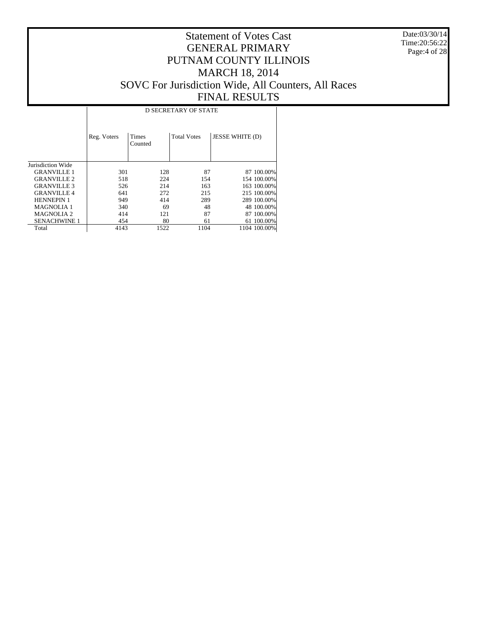Date:03/30/14 Time:20:56:22 Page:4 of 28

|                     |             | <b>D SECRETARY OF STATE</b> |                    |                        |              |  |  |  |  |
|---------------------|-------------|-----------------------------|--------------------|------------------------|--------------|--|--|--|--|
|                     | Reg. Voters | <b>Times</b><br>Counted     | <b>Total Votes</b> | <b>JESSE WHITE (D)</b> |              |  |  |  |  |
| Jurisdiction Wide   |             |                             |                    |                        |              |  |  |  |  |
| <b>GRANVILLE 1</b>  | 301         | 128                         | 87                 |                        | 87 100.00%   |  |  |  |  |
| <b>GRANVILLE 2</b>  | 518         | 224                         | 154                |                        | 154 100.00%  |  |  |  |  |
| <b>GRANVILLE 3</b>  | 526         | 214                         | 163                |                        | 163 100.00%  |  |  |  |  |
| <b>GRANVILLE4</b>   | 641         | 272                         | 215                |                        | 215 100.00%  |  |  |  |  |
| <b>HENNEPIN 1</b>   | 949         | 414                         | 289                |                        | 289 100.00%  |  |  |  |  |
| <b>MAGNOLIA1</b>    | 340         | 69                          | 48                 |                        | 48 100,00%   |  |  |  |  |
| <b>MAGNOLIA 2</b>   | 414         | 121                         | 87                 |                        | 87 100.00%   |  |  |  |  |
| <b>SENACHWINE 1</b> | 454         | 80                          | 61                 |                        | 61 100.00%   |  |  |  |  |
| Total               | 4143        | 1522                        | 1104               |                        | 1104 100.00% |  |  |  |  |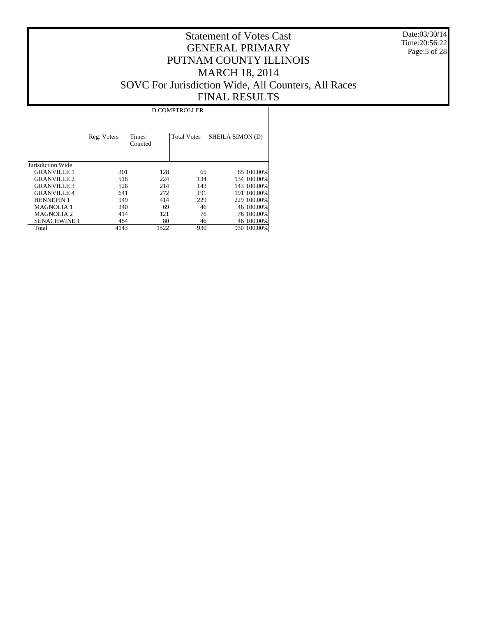Date:03/30/14 Time:20:56:22 Page:5 of 28

## Statement of Votes Cast GENERAL PRIMARY PUTNAM COUNTY ILLINOIS MARCH 18, 2014 SOVC For Jurisdiction Wide, All Counters, All Races FINAL RESULTS

|                     | <b>D COMPTROLLER</b> |                         |                    |                  |  |  |  |  |
|---------------------|----------------------|-------------------------|--------------------|------------------|--|--|--|--|
|                     | Reg. Voters          | <b>Times</b><br>Counted | <b>Total Votes</b> | SHEILA SIMON (D) |  |  |  |  |
| Jurisdiction Wide   |                      |                         |                    |                  |  |  |  |  |
| <b>GRANVILLE 1</b>  | 301                  | 128                     | 65                 | 65 100.00%       |  |  |  |  |
| <b>GRANVILLE 2</b>  | 518                  | 224                     | 134                | 134 100,00%      |  |  |  |  |
| <b>GRANVILLE 3</b>  | 526                  | 214                     | 143                | 143 100,00%      |  |  |  |  |
| <b>GRANVILLE 4</b>  | 641                  | 272                     | 191                | 191 100.00%      |  |  |  |  |
| <b>HENNEPIN 1</b>   | 949                  | 414                     | 229                | 229 100.00%      |  |  |  |  |
| <b>MAGNOLIA 1</b>   | 340                  | 69                      | 46                 | 46 100.00%       |  |  |  |  |
| <b>MAGNOLIA2</b>    | 414                  | 121                     | 76                 | 76 100.00%       |  |  |  |  |
| <b>SENACHWINE 1</b> | 454                  | 80                      | 46                 | 46 100.00%       |  |  |  |  |
| Total               | 4143                 | 1522                    | 930                | 930 100.00%      |  |  |  |  |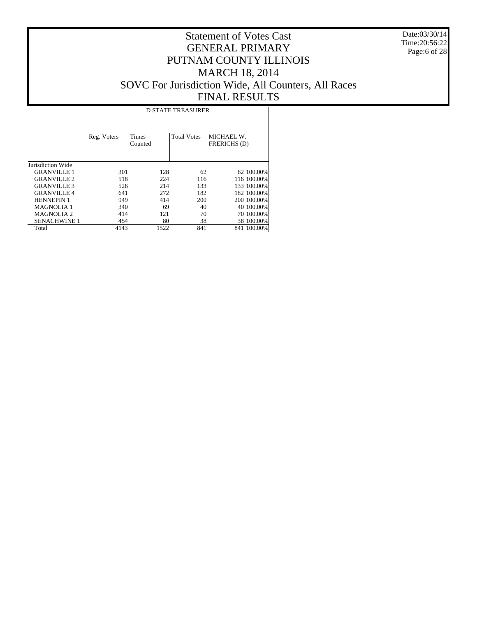Date:03/30/14 Time:20:56:22 Page:6 of 28

|                       | <b>D STATE TREASURER</b> |                         |                    |                            |  |  |  |  |
|-----------------------|--------------------------|-------------------------|--------------------|----------------------------|--|--|--|--|
|                       | Reg. Voters              | <b>Times</b><br>Counted | <b>Total Votes</b> | MICHAEL W.<br>FRERICHS (D) |  |  |  |  |
| Jurisdiction Wide     |                          |                         |                    |                            |  |  |  |  |
| <b>GRANVILLE 1</b>    | 301                      | 128                     | 62                 | 62 100.00%                 |  |  |  |  |
| <b>GRANVILLE 2</b>    | 518                      | 224                     | 116                | 116 100.00%                |  |  |  |  |
| <b>GRANVILLE 3</b>    | 526                      | 214                     | 133                | 133 100,00%                |  |  |  |  |
| <b>GRANVILLE4</b>     | 641                      | 272                     | 182                | 182 100,00%                |  |  |  |  |
| <b>HENNEPIN 1</b>     | 949                      | 414                     | 200                | 200 100.00%                |  |  |  |  |
| <b>MAGNOLIA1</b>      | 340                      | 69                      | 40                 | 40 100,00%                 |  |  |  |  |
| MAGNOLIA <sub>2</sub> | 414                      | 121                     | 70                 | 70 100,00%                 |  |  |  |  |
| <b>SENACHWINE 1</b>   | 454                      | 80                      | 38                 | 38 100.00%                 |  |  |  |  |
| Total                 | 4143                     | 1522                    | 841                | 841 100.00%                |  |  |  |  |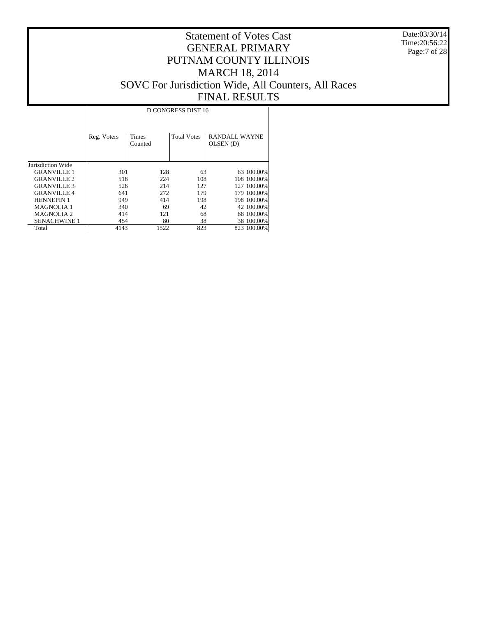Date:03/30/14 Time:20:56:22 Page:7 of 28

|                     | D CONGRESS DIST 16 |                         |                    |                                   |  |  |  |  |
|---------------------|--------------------|-------------------------|--------------------|-----------------------------------|--|--|--|--|
|                     | Reg. Voters        | <b>Times</b><br>Counted | <b>Total Votes</b> | <b>RANDALL WAYNE</b><br>OLSEN (D) |  |  |  |  |
| Jurisdiction Wide   |                    |                         |                    |                                   |  |  |  |  |
| <b>GRANVILLE 1</b>  | 301                | 128                     | 63                 | 63 100.00%                        |  |  |  |  |
| <b>GRANVILLE 2</b>  | 518                | 224                     | 108                | 108 100,00%                       |  |  |  |  |
| <b>GRANVILLE 3</b>  | 526                | 214                     | 127                | 127 100.00%                       |  |  |  |  |
| <b>GRANVILLE 4</b>  | 641                | 272                     | 179                | 179 100.00%                       |  |  |  |  |
| <b>HENNEPIN 1</b>   | 949                | 414                     | 198                | 198 100.00%                       |  |  |  |  |
| <b>MAGNOLIA1</b>    | 340                | 69                      | 42                 | 42 100.00%                        |  |  |  |  |
| <b>MAGNOLIA 2</b>   | 414                | 121                     | 68                 | 68 100,00%                        |  |  |  |  |
| <b>SENACHWINE 1</b> | 454                | 80                      | 38                 | 38 100,00%                        |  |  |  |  |
| Total               | 4143               | 1522                    | 823                | 823 100.00%                       |  |  |  |  |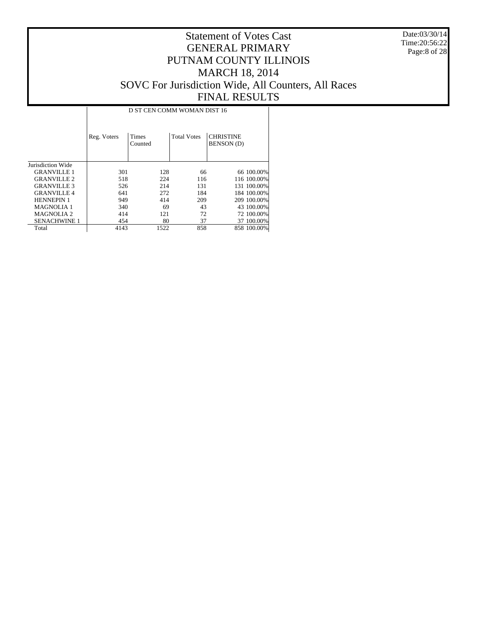Date:03/30/14 Time:20:56:22 Page:8 of 28

|                     | D ST CEN COMM WOMAN DIST 16 |                         |                    |                                       |             |  |  |  |
|---------------------|-----------------------------|-------------------------|--------------------|---------------------------------------|-------------|--|--|--|
|                     | Reg. Voters                 | <b>Times</b><br>Counted | <b>Total Votes</b> | <b>CHRISTINE</b><br><b>BENSON</b> (D) |             |  |  |  |
| Jurisdiction Wide   |                             |                         |                    |                                       |             |  |  |  |
| <b>GRANVILLE 1</b>  | 301                         | 128                     | 66                 |                                       | 66 100.00%  |  |  |  |
| <b>GRANVILLE 2</b>  | 518                         | 224                     | 116                |                                       | 116 100.00% |  |  |  |
| <b>GRANVILLE 3</b>  | 526                         | 214                     | 131                |                                       | 131 100.00% |  |  |  |
| <b>GRANVILLE 4</b>  | 641                         | 272                     | 184                |                                       | 184 100,00% |  |  |  |
| <b>HENNEPIN 1</b>   | 949                         | 414                     | 209                |                                       | 209 100.00% |  |  |  |
| <b>MAGNOLIA 1</b>   | 340                         | 69                      | 43                 |                                       | 43 100.00%  |  |  |  |
| <b>MAGNOLIA2</b>    | 414                         | 121                     | 72                 |                                       | 72 100.00%  |  |  |  |
| <b>SENACHWINE 1</b> | 454                         | 80                      | 37                 |                                       | 37 100.00%  |  |  |  |
| Total               | 4143                        | 1522                    | 858                |                                       | 858 100,00% |  |  |  |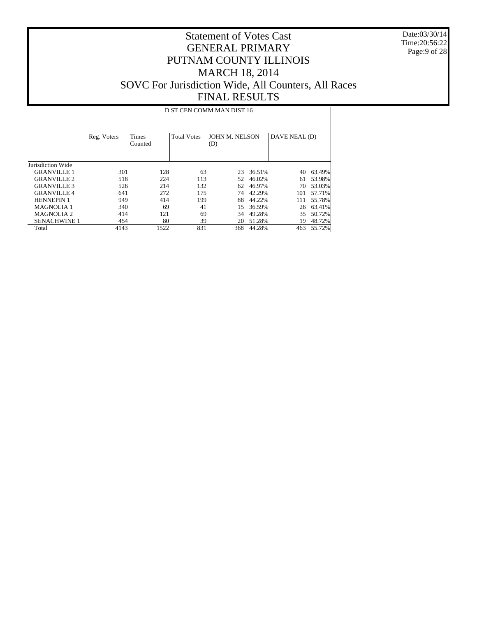Date:03/30/14 Time:20:56:22 Page:9 of 28

#### Statement of Votes Cast GENERAL PRIMARY PUTNAM COUNTY ILLINOIS MARCH 18, 2014 SOVC For Jurisdiction Wide, All Counters, All Races FINAL RESULTS

D ST CEN COMM MAN DIST 16

|                     | Reg. Voters | Times<br>Counted | <b>Total Votes</b> | JOHN M. NELSON<br>(D) |        | DAVE NEAL (D) |        |
|---------------------|-------------|------------------|--------------------|-----------------------|--------|---------------|--------|
| Jurisdiction Wide   |             |                  |                    |                       |        |               |        |
| <b>GRANVILLE 1</b>  | 301         | 128              | 63                 | 23                    | 36.51% | 40            | 63.49% |
| <b>GRANVILLE 2</b>  | 518         | 224              | 113                | 52.                   | 46.02% | 61            | 53.98% |
| <b>GRANVILLE 3</b>  | 526         | 214              | 132                | 62                    | 46.97% | 70            | 53.03% |
| <b>GRANVILLE 4</b>  | 641         | 272              | 175                | 74                    | 42.29% | 101           | 57.71% |
| <b>HENNEPIN 1</b>   | 949         | 414              | 199                | 88                    | 44.22% | 111           | 55.78% |
| <b>MAGNOLIA 1</b>   | 340         | 69               | 41                 | 15                    | 36.59% | 26            | 63.41% |
| <b>MAGNOLIA 2</b>   | 414         | 121              | 69                 | 34                    | 49.28% | 35            | 50.72% |
| <b>SENACHWINE 1</b> | 454         | 80               | 39                 | 20                    | 51.28% | 19            | 48.72% |
| Total               | 4143        | 1522             | 831                | 368                   | 44.28% | 463           | 55.72% |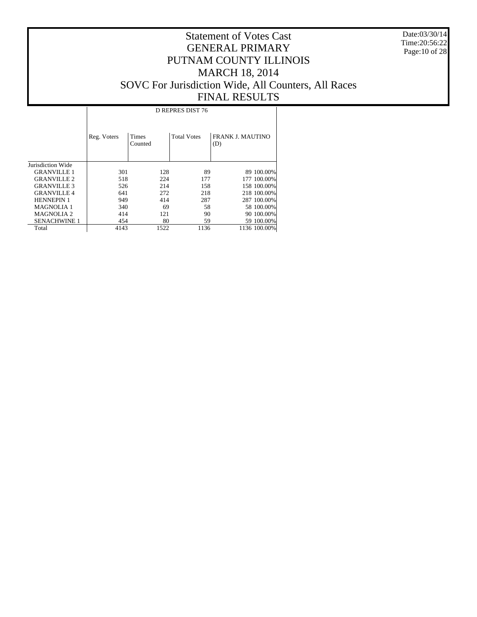Date:03/30/14 Time:20:56:22 Page:10 of 28

|                     | D REPRES DIST 76 |                  |                    |                                |  |  |  |  |
|---------------------|------------------|------------------|--------------------|--------------------------------|--|--|--|--|
|                     | Reg. Voters      | Times<br>Counted | <b>Total Votes</b> | <b>FRANK J. MAUTINO</b><br>(D) |  |  |  |  |
| Jurisdiction Wide   |                  |                  |                    |                                |  |  |  |  |
| <b>GRANVILLE 1</b>  | 301              | 128              | 89                 | 89 100.00%                     |  |  |  |  |
| <b>GRANVILLE 2</b>  | 518              | 224              | 177                | 177 100.00%                    |  |  |  |  |
| <b>GRANVILLE 3</b>  | 526              | 214              | 158                | 158 100.00%                    |  |  |  |  |
| <b>GRANVILLE4</b>   | 641              | 272              | 218                | 218 100.00%                    |  |  |  |  |
| <b>HENNEPIN 1</b>   | 949              | 414              | 287                | 287 100.00%                    |  |  |  |  |
| <b>MAGNOLIA 1</b>   | 340              | 69               | 58                 | 58 100,00%                     |  |  |  |  |
| <b>MAGNOLIA 2</b>   | 414              | 121              | 90                 | 90 100.00%                     |  |  |  |  |
| <b>SENACHWINE 1</b> | 454              | 80               | 59                 | 59 100.00%                     |  |  |  |  |
| Total               | 4143             | 1522             | 1136               | 1136 100.00%                   |  |  |  |  |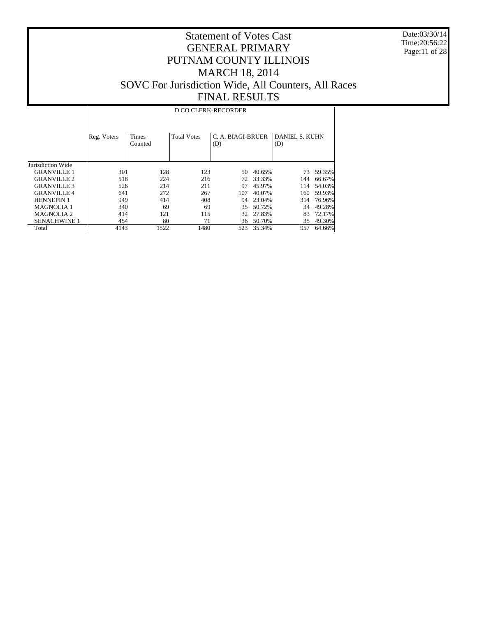Date:03/30/14 Time:20:56:22 Page:11 of 28

## Statement of Votes Cast GENERAL PRIMARY PUTNAM COUNTY ILLINOIS MARCH 18, 2014 SOVC For Jurisdiction Wide, All Counters, All Races FINAL RESULTS

D CO CLERK-RECORDER

|                     | Reg. Voters | <b>Times</b><br>Counted | <b>Total Votes</b> | C. A. BIAGI-BRUER<br>(D) |        | DANIEL S. KUHN<br>(D) |        |
|---------------------|-------------|-------------------------|--------------------|--------------------------|--------|-----------------------|--------|
| Jurisdiction Wide   |             |                         |                    |                          |        |                       |        |
| <b>GRANVILLE 1</b>  | 301         | 128                     | 123                | 50                       | 40.65% | 73                    | 59.35% |
| <b>GRANVILLE 2</b>  | 518         | 224                     | 216                | 72.                      | 33.33% | 144                   | 66.67% |
| <b>GRANVILLE 3</b>  | 526         | 214                     | 211                | 97                       | 45.97% | 114                   | 54.03% |
| <b>GRANVILLE4</b>   | 641         | 272                     | 267                | 107                      | 40.07% | 160                   | 59.93% |
| <b>HENNEPIN 1</b>   | 949         | 414                     | 408                | 94                       | 23.04% | 314                   | 76.96% |
| <b>MAGNOLIA 1</b>   | 340         | 69                      | 69                 | 35                       | 50.72% | 34                    | 49.28% |
| <b>MAGNOLIA 2</b>   | 414         | 121                     | 115                | 32.                      | 27.83% | 83                    | 72.17% |
| <b>SENACHWINE 1</b> | 454         | 80                      | 71                 | 36                       | 50.70% | 35                    | 49.30% |
| Total               | 4143        | 1522                    | 1480               | 523                      | 35.34% | 957                   | 64.66% |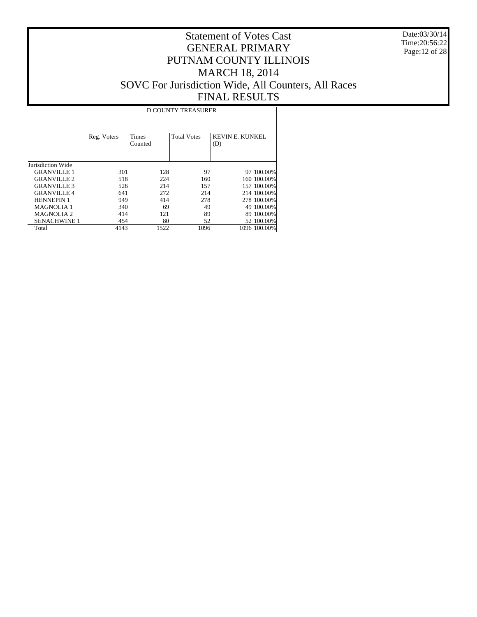Date:03/30/14 Time:20:56:22 Page:12 of 28

|                     | <b>D COUNTY TREASURER</b> |                  |                    |                        |  |  |  |  |
|---------------------|---------------------------|------------------|--------------------|------------------------|--|--|--|--|
|                     | Reg. Voters               | Times<br>Counted | <b>Total Votes</b> | KEVIN E. KUNKEL<br>(D) |  |  |  |  |
| Jurisdiction Wide   |                           |                  |                    |                        |  |  |  |  |
| <b>GRANVILLE 1</b>  | 301                       | 128              | 97                 | 97 100,00%             |  |  |  |  |
| <b>GRANVILLE 2</b>  | 518                       | 224              | 160                | 160 100.00%            |  |  |  |  |
| <b>GRANVILLE 3</b>  | 526                       | 214              | 157                | 157 100.00%            |  |  |  |  |
| <b>GRANVILLE4</b>   | 641                       | 272              | 214                | 214 100.00%            |  |  |  |  |
| <b>HENNEPIN 1</b>   | 949                       | 414              | 278                | 278 100,00%            |  |  |  |  |
| <b>MAGNOLIA 1</b>   | 340                       | 69               | 49                 | 49 100,00%             |  |  |  |  |
| <b>MAGNOLIA 2</b>   | 414                       | 121              | 89                 | 89 100.00%             |  |  |  |  |
| <b>SENACHWINE 1</b> | 454                       | 80               | 52                 | 52 100,00%             |  |  |  |  |
| Total               | 4143                      | 1522             | 1096               | 1096 100.00%           |  |  |  |  |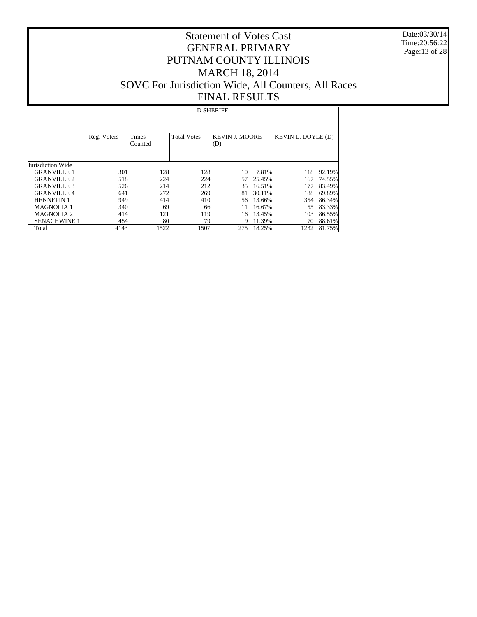Date:03/30/14 Time:20:56:22 Page:13 of 28

## Statement of Votes Cast GENERAL PRIMARY PUTNAM COUNTY ILLINOIS MARCH 18, 2014 SOVC For Jurisdiction Wide, All Counters, All Races FINAL RESULTS

#### D SHERIFF

|                     | Reg. Voters | <b>Times</b><br>Counted | <b>Total Votes</b> | <b>KEVIN J. MOORE</b><br>(D) |        | KEVIN L. DOYLE (D) |        |
|---------------------|-------------|-------------------------|--------------------|------------------------------|--------|--------------------|--------|
| Jurisdiction Wide   |             |                         |                    |                              |        |                    |        |
| <b>GRANVILLE 1</b>  | 301         | 128                     | 128                | 10                           | 7.81%  | 118                | 92.19% |
| <b>GRANVILLE 2</b>  | 518         | 224                     | 224                | 57                           | 25.45% | 167                | 74.55% |
| <b>GRANVILLE 3</b>  | 526         | 214                     | 212                | 35                           | 16.51% | 177                | 83.49% |
| <b>GRANVILLE4</b>   | 641         | 272                     | 269                | 81                           | 30.11% | 188                | 69.89% |
| <b>HENNEPIN 1</b>   | 949         | 414                     | 410                | 56.                          | 13.66% | 354                | 86.34% |
| <b>MAGNOLIA 1</b>   | 340         | 69                      | 66                 | 11                           | 16.67% | 55                 | 83.33% |
| <b>MAGNOLIA 2</b>   | 414         | 121                     | 119                | 16                           | 13.45% | 103                | 86.55% |
| <b>SENACHWINE 1</b> | 454         | 80                      | 79                 | 9                            | 11.39% | 70                 | 88.61% |
| Total               | 4143        | 1522                    | 1507               | 275                          | 18.25% | 1232               | 81.75% |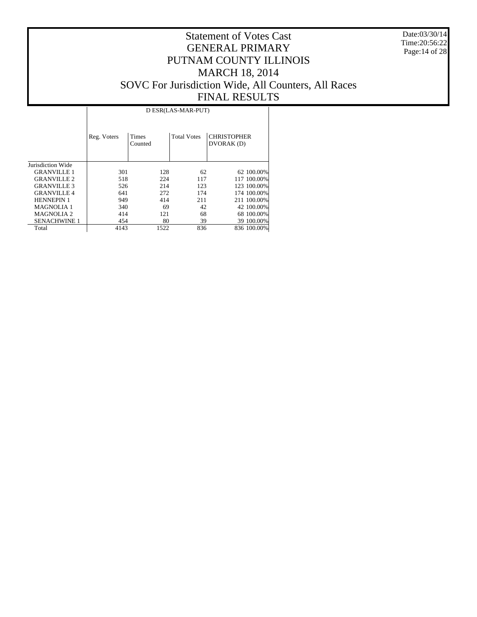Date:03/30/14 Time:20:56:22 Page:14 of 28

|                     |             |                         | D ESR(LAS-MAR-PUT) |                                 |
|---------------------|-------------|-------------------------|--------------------|---------------------------------|
|                     | Reg. Voters | <b>Times</b><br>Counted | <b>Total Votes</b> | <b>CHRISTOPHER</b><br>DVORAK(D) |
| Jurisdiction Wide   |             |                         |                    |                                 |
| <b>GRANVILLE 1</b>  | 301         | 128                     | 62                 | 62 100.00%                      |
| <b>GRANVILLE 2</b>  | 518         | 224                     | 117                | 117 100.00%                     |
| <b>GRANVILLE 3</b>  | 526         | 214                     | 123                | 123 100,00%                     |
| <b>GRANVILLE4</b>   | 641         | 272                     | 174                | 174 100,00%                     |
| <b>HENNEPIN 1</b>   | 949         | 414                     | 211                | 211 100.00%                     |
| <b>MAGNOLIA 1</b>   | 340         | 69                      | 42                 | 42 100.00%                      |
| <b>MAGNOLIA2</b>    | 414         | 121                     | 68                 | 68 100.00%                      |
| <b>SENACHWINE 1</b> | 454         | 80                      | 39                 | 39 100.00%                      |
| Total               | 4143        | 1522                    | 836                | 836 100.00%                     |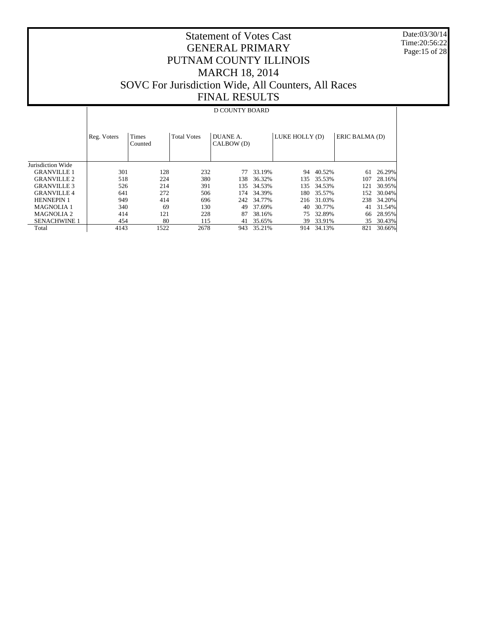Date:03/30/14 Time:20:56:22 Page:15 of 28

## Statement of Votes Cast GENERAL PRIMARY PUTNAM COUNTY ILLINOIS MARCH 18, 2014 SOVC For Jurisdiction Wide, All Counters, All Races FINAL RESULTS

#### D COUNTY BOARD

|                     | Reg. Voters | Times<br>Counted | <b>Total Votes</b> | DUANE A.<br>CALBOW (D) |            | LUKE HOLLY (D) |            | ERIC BALMA (D) |        |
|---------------------|-------------|------------------|--------------------|------------------------|------------|----------------|------------|----------------|--------|
| Jurisdiction Wide   |             |                  |                    |                        |            |                |            |                |        |
| <b>GRANVILLE 1</b>  | 301         | 128              | 232                | 77                     | 33.19%     | 94             | 40.52%     | 61             | 26.29% |
| <b>GRANVILLE 2</b>  | 518         | 224              | 380                | 138                    | 36.32%     | 135            | 35.53%     | 107            | 28.16% |
| <b>GRANVILLE 3</b>  | 526         | 214              | 391                | 135                    | 34.53%     | 135            | 34.53%     | 121            | 30.95% |
| <b>GRANVILLE4</b>   | 641         | 272              | 506                | 174                    | 34.39%     | 180            | 35.57%     | 152            | 30.04% |
| <b>HENNEPIN 1</b>   | 949         | 414              | 696                |                        | 242 34.77% |                | 216 31.03% | 238            | 34.20% |
| <b>MAGNOLIA 1</b>   | 340         | 69               | 130                | 49                     | 37.69%     | 40             | 30.77%     | 41             | 31.54% |
| <b>MAGNOLIA 2</b>   | 414         | 121              | 228                | 87                     | 38.16%     | 75             | 32.89%     | 66             | 28.95% |
| <b>SENACHWINE 1</b> | 454         | 80               | 115                | 41                     | 35.65%     | 39             | 33.91%     | 35             | 30.43% |
| Total               | 4143        | 1522             | 2678               | 943                    | 35.21%     |                | 914 34.13% | 821            | 30.66% |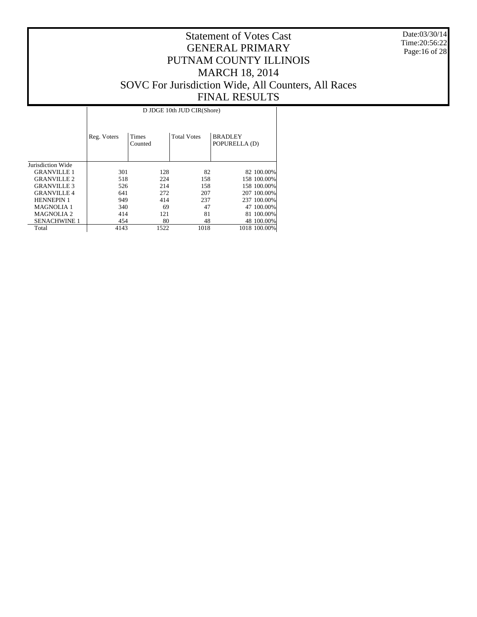Date:03/30/14 Time:20:56:22 Page:16 of 28

|                       |             |                  | D JDGE 10th JUD CIR(Shore) |                                 |
|-----------------------|-------------|------------------|----------------------------|---------------------------------|
|                       | Reg. Voters | Times<br>Counted | <b>Total Votes</b>         | <b>BRADLEY</b><br>POPURELLA (D) |
| Jurisdiction Wide     |             |                  |                            |                                 |
| <b>GRANVILLE 1</b>    | 301         | 128              | 82                         | 82 100.00%                      |
| <b>GRANVILLE 2</b>    | 518         | 224              | 158                        | 158 100,00%                     |
| <b>GRANVILLE 3</b>    | 526         | 214              | 158                        | 158 100,00%                     |
| <b>GRANVILLE4</b>     | 641         | 272              | 207                        | 207 100,00%                     |
| <b>HENNEPIN 1</b>     | 949         | 414              | 237                        | 237 100.00%                     |
| <b>MAGNOLIA 1</b>     | 340         | 69               | 47                         | 47 100.00%                      |
| MAGNOLIA <sub>2</sub> | 414         | 121              | 81                         | 81 100.00%                      |
| <b>SENACHWINE 1</b>   | 454         | 80               | 48                         | 48 100,00%                      |
| Total                 | 4143        | 1522             | 1018                       | 1018 100.00%                    |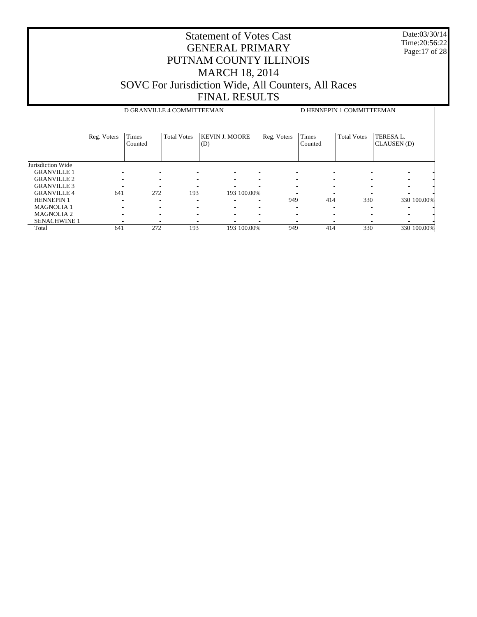Date:03/30/14 Time:20:56:22 Page:17 of 28

|                     |             | D GRANVILLE 4 COMMITTEEMAN |                    |                              | D HENNEPIN 1 COMMITTEEMAN |                  |                    |                          |  |
|---------------------|-------------|----------------------------|--------------------|------------------------------|---------------------------|------------------|--------------------|--------------------------|--|
|                     | Reg. Voters | Times<br>Counted           | <b>Total Votes</b> | <b>KEVIN J. MOORE</b><br>(D) | Reg. Voters               | Times<br>Counted | <b>Total Votes</b> | TERESA L.<br>CLAUSEN (D) |  |
| Jurisdiction Wide   |             |                            |                    |                              |                           |                  |                    |                          |  |
| <b>GRANVILLE 1</b>  | ۰           | ۰                          |                    |                              |                           | ۰                |                    | ۰                        |  |
| <b>GRANVILLE 2</b>  |             | ۰                          |                    |                              |                           |                  |                    | ۰                        |  |
| <b>GRANVILLE 3</b>  |             |                            |                    |                              |                           |                  |                    |                          |  |
| <b>GRANVILLE 4</b>  | 641         | 272                        | 193                | 193 100.00%                  |                           |                  |                    |                          |  |
| <b>HENNEPIN 1</b>   |             | $\overline{\phantom{a}}$   | ۰                  |                              | 949                       | 414              | 330                | 330 100.00%              |  |
| <b>MAGNOLIA1</b>    |             | ۰                          |                    |                              |                           |                  | ۰                  |                          |  |
| <b>MAGNOLIA 2</b>   | ٠           | -                          | ۰                  |                              |                           | ۰                |                    |                          |  |
| <b>SENACHWINE 1</b> | ٠           | -                          | ۰                  |                              |                           |                  | ٠                  |                          |  |
| Total               | 641         | 272                        | 193                | 193 100.00%                  | 949                       | 414              | 330                | 330 100.00%              |  |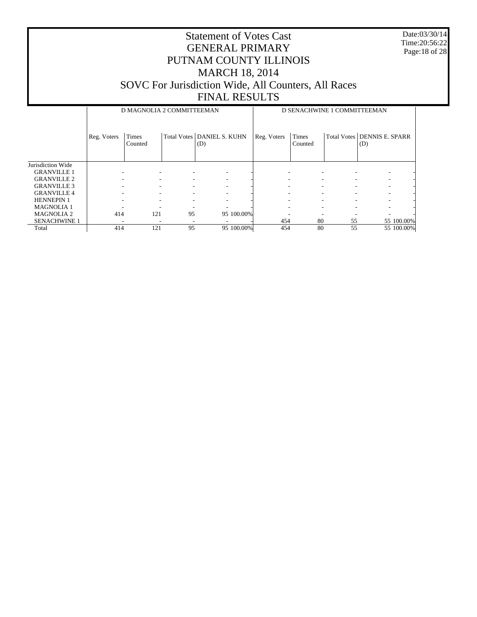Date:03/30/14 Time:20:56:22 Page:18 of 28

|                     |             | D MAGNOLIA 2 COMMITTEEMAN |                            |     |            | D SENACHWINE 1 COMMITTEEMAN |                         |    |                                    |  |
|---------------------|-------------|---------------------------|----------------------------|-----|------------|-----------------------------|-------------------------|----|------------------------------------|--|
|                     | Reg. Voters | <b>Times</b><br>Counted   | Total Votes DANIEL S. KUHN | (D) |            | Reg. Voters                 | <b>Times</b><br>Counted |    | Total Votes DENNIS E. SPARR<br>(D) |  |
| Jurisdiction Wide   |             |                           |                            |     |            |                             |                         |    |                                    |  |
| <b>GRANVILLE 1</b>  |             |                           |                            |     | ۰          |                             |                         |    |                                    |  |
| <b>GRANVILLE 2</b>  |             |                           |                            |     |            |                             | ۰                       |    |                                    |  |
| <b>GRANVILLE 3</b>  |             |                           |                            |     | ۰          |                             | ۰                       |    |                                    |  |
| <b>GRANVILLE 4</b>  |             |                           |                            |     |            |                             | ۰                       |    |                                    |  |
| <b>HENNEPIN 1</b>   |             |                           |                            |     |            |                             |                         |    |                                    |  |
| <b>MAGNOLIA1</b>    |             |                           |                            |     |            |                             |                         |    |                                    |  |
| <b>MAGNOLIA 2</b>   | 414         | 121                       | 95                         |     | 95 100.00% |                             |                         |    |                                    |  |
| <b>SENACHWINE 1</b> |             |                           |                            |     |            | 454                         | 80                      | 55 | 55 100.00%                         |  |
| Total               | 414         | 121                       | 95                         |     | 95 100.00% | 454                         | 80                      | 55 | 55 100.00%                         |  |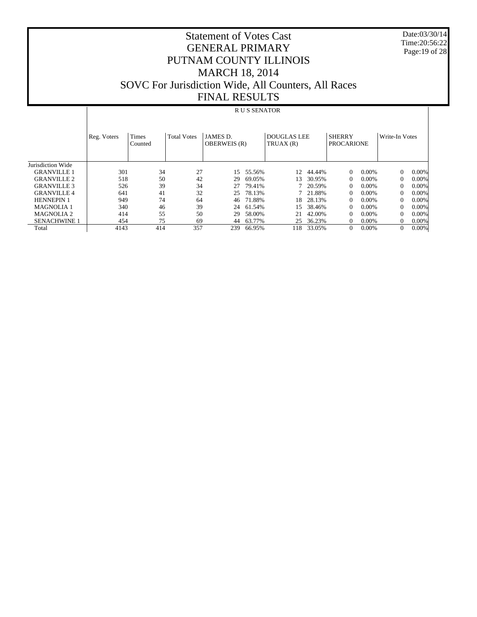Date:03/30/14 Time:20:56:22 Page:19 of 28

## Statement of Votes Cast GENERAL PRIMARY PUTNAM COUNTY ILLINOIS MARCH 18, 2014 SOVC For Jurisdiction Wide, All Counters, All Races FINAL RESULTS

#### R U S SENATOR

|                     | Reg. Voters | Times<br>Counted | <b>Total Votes</b> | JAMES D.<br><b>OBERWEIS</b> (R) |        | <b>DOUGLAS LEE</b><br>TRUAX(R) |        | <b>SHERRY</b><br><b>PROCARIONE</b> |          | Write-In Votes |          |
|---------------------|-------------|------------------|--------------------|---------------------------------|--------|--------------------------------|--------|------------------------------------|----------|----------------|----------|
| Jurisdiction Wide   |             |                  |                    |                                 |        |                                |        |                                    |          |                |          |
| <b>GRANVILLE 1</b>  | 301         | 34               | 27                 | 15                              | 55.56% | 12                             | 44.44% | $\Omega$                           | $0.00\%$ | $\Omega$       | 0.00%    |
| <b>GRANVILLE 2</b>  | 518         | 50               | 42                 | 29                              | 69.05% | 13                             | 30.95% | $\Omega$                           | $0.00\%$ | $\Omega$       | 0.00%    |
| <b>GRANVILLE 3</b>  | 526         | 39               | 34                 | 27                              | 79.41% |                                | 20.59% | $\Omega$                           | $0.00\%$ | 0              | 0.00%    |
| <b>GRANVILLE4</b>   | 641         | 41               | 32                 | 25                              | 78.13% |                                | 21.88% | $\Omega$                           | $0.00\%$ | $\Omega$       | 0.00%    |
| <b>HENNEPIN 1</b>   | 949         | 74               | 64                 | 46                              | 71.88% | 18                             | 28.13% | $\mathbf{0}$                       | $0.00\%$ | 0              | 0.00%    |
| <b>MAGNOLIA 1</b>   | 340         | 46               | 39                 | 24                              | 61.54% | 15                             | 38.46% | $\Omega$                           | $0.00\%$ | $\Omega$       | 0.00%    |
| <b>MAGNOLIA 2</b>   | 414         | 55               | 50                 | 29                              | 58.00% | 21                             | 42.00% | $\Omega$                           | $0.00\%$ |                | 0.00%    |
| <b>SENACHWINE 1</b> | 454         | 75               | 69                 | 44                              | 63.77% | 25                             | 36.23% | $\Omega$                           | $0.00\%$ |                | 0.00%    |
| Total               | 4143        | 414              | 357                | 239                             | 66.95% | 118                            | 33.05% | $\theta$                           | $0.00\%$ | 0              | $0.00\%$ |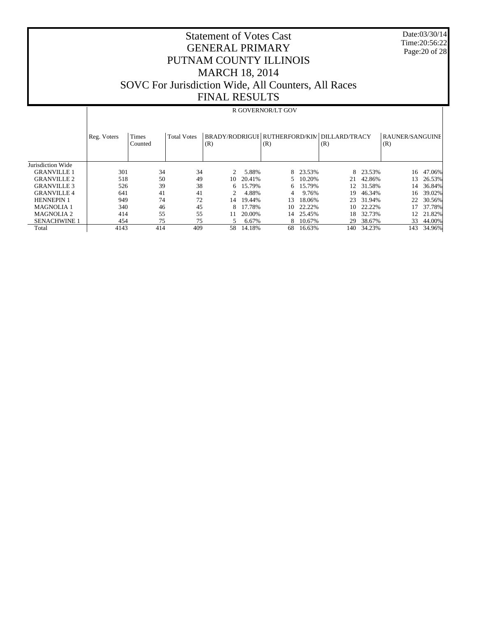Date:03/30/14 Time:20:56:22 Page:20 of 28

## Statement of Votes Cast GENERAL PRIMARY PUTNAM COUNTY ILLINOIS MARCH 18, 2014 SOVC For Jurisdiction Wide, All Counters, All Races FINAL RESULTS

# R GOVERNOR/LT GOV

|                     | Reg. Voters | <b>Times</b><br>Counted | <b>Total Votes</b> | (R) |        | (R) |          | BRADY/RODRIGUI RUTHERFORD/KIN DILLARD/TRACY<br>(R) |           | RAUNER/SANGUINE<br>(R) |        |
|---------------------|-------------|-------------------------|--------------------|-----|--------|-----|----------|----------------------------------------------------|-----------|------------------------|--------|
| Jurisdiction Wide   |             |                         |                    |     |        |     |          |                                                    |           |                        |        |
| <b>GRANVILLE 1</b>  | 301         | 34                      | 34                 |     | 5.88%  |     | 8 23.53% |                                                    | 8 23.53%  | 16                     | 47.06% |
| <b>GRANVILLE 2</b>  | 518         | 50                      | 49                 | 10  | 20.41% |     | 5 10.20% | 21                                                 | 42.86%    | 13                     | 26.53% |
| <b>GRANVILLE 3</b>  | 526         | 39                      | 38                 | 6.  | 15.79% |     | 6 15.79% |                                                    | 12 31.58% | 14                     | 36.84% |
| <b>GRANVILLE4</b>   | 641         | 41                      | 41                 |     | 4.88%  | 4   | 9.76%    | 19                                                 | 46.34%    | 16                     | 39.02% |
| <b>HENNEPIN 1</b>   | 949         | 74                      | 72                 | 14  | 19.44% | 13  | 18.06%   | 23.                                                | 31.94%    | 22                     | 30.56% |
| <b>MAGNOLIA 1</b>   | 340         | 46                      | 45                 | 8   | 17.78% | 10. | 22.22%   | 10.                                                | 22.22%    | 17                     | 37.78% |
| <b>MAGNOLIA 2</b>   | 414         | 55                      | 55                 | 11  | 20.00% | 14  | 25.45%   | 18                                                 | 32.73%    | 12.                    | 21.82% |
| <b>SENACHWINE 1</b> | 454         | 75                      | 75                 |     | 6.67%  |     | 8 10.67% | 29                                                 | 38.67%    | 33                     | 44.00% |
| Total               | 4143        | 414                     | 409                | 58  | 14.18% | 68  | 16.63%   | 140                                                | 34.23%    | 143                    | 34.96% |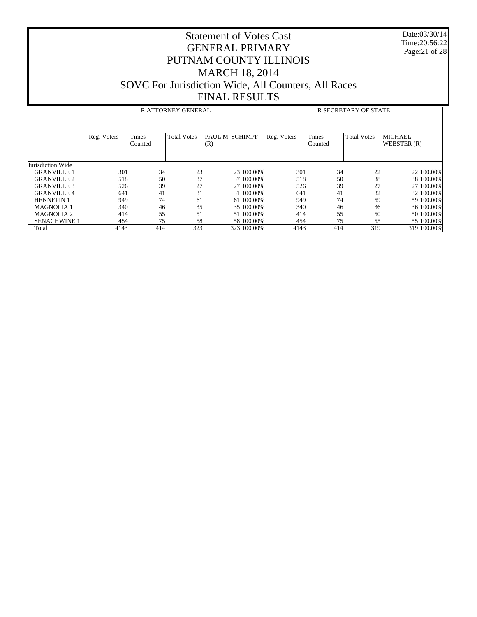Date:03/30/14 Time:20:56:22 Page:21 of 28

|                     |             |                  | <b>RATTORNEY GENERAL</b> |                        | <b>R SECRETARY OF STATE</b> |                         |                    |                               |  |
|---------------------|-------------|------------------|--------------------------|------------------------|-----------------------------|-------------------------|--------------------|-------------------------------|--|
|                     | Reg. Voters | Times<br>Counted | <b>Total Votes</b>       | PAUL M. SCHIMPF<br>(R) | Reg. Voters                 | <b>Times</b><br>Counted | <b>Total Votes</b> | <b>MICHAEL</b><br>WEBSTER (R) |  |
| Jurisdiction Wide   |             |                  |                          |                        |                             |                         |                    |                               |  |
| <b>GRANVILLE 1</b>  | 301         | 34               | 23                       | 23 100,00%             | 301                         | 34                      | 22                 | 22 100.00%                    |  |
| <b>GRANVILLE 2</b>  | 518         | 50               | 37                       | 37 100,00%             | 518                         | 50                      | 38                 | 38 100.00%                    |  |
| <b>GRANVILLE 3</b>  | 526         | 39               | 27                       | 27 100,00%             | 526                         | 39                      | 27                 | 27 100,00%                    |  |
| <b>GRANVILLE 4</b>  | 641         | 41               | 31                       | 31 100.00%             | 641                         | 41                      | 32                 | 32 100,00%                    |  |
| <b>HENNEPIN 1</b>   | 949         | 74               | 61                       | 61 100,00%             | 949                         | 74                      | 59                 | 59 100.00%                    |  |
| <b>MAGNOLIA 1</b>   | 340         | 46               | 35                       | 35 100,00%             | 340                         | 46                      | 36                 | 36 100.00%                    |  |
| <b>MAGNOLIA 2</b>   | 414         | 55               | 51                       | 51 100.00%             | 414                         | 55                      | 50                 | 50 100,00%                    |  |
| <b>SENACHWINE 1</b> | 454         | 75               | 58                       | 58 100.00%             | 454                         | 75                      | 55                 | 55 100.00%                    |  |
| Total               | 4143        | 414              | 323                      | 323 100.00%            | 4143                        | 414                     | 319                | 319 100.00%                   |  |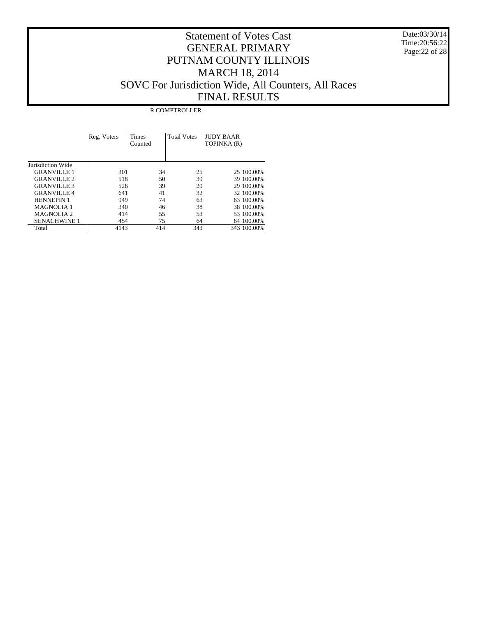Date:03/30/14 Time:20:56:22 Page:22 of 28

|                     |             |                         | <b>R COMPTROLLER</b> |                                 |
|---------------------|-------------|-------------------------|----------------------|---------------------------------|
|                     | Reg. Voters | <b>Times</b><br>Counted | <b>Total Votes</b>   | <b>JUDY BAAR</b><br>TOPINKA (R) |
| Jurisdiction Wide   |             |                         |                      |                                 |
| <b>GRANVILLE 1</b>  | 301         | 34                      | 25                   | 25 100.00%                      |
| <b>GRANVILLE 2</b>  | 518         | 50                      | 39                   | 39 100.00%                      |
| <b>GRANVILLE 3</b>  | 526         | 39                      | 29                   | 29 100.00%                      |
| <b>GRANVILLE 4</b>  | 641         | 41                      | 32                   | 32 100.00%                      |
| <b>HENNEPIN 1</b>   | 949         | 74                      | 63                   | 63 100.00%                      |
| <b>MAGNOLIA 1</b>   | 340         | 46                      | 38                   | 38 100,00%                      |
| <b>MAGNOLIA 2</b>   | 414         | 55                      | 53                   | 53 100,00%                      |
| <b>SENACHWINE 1</b> | 454         | 75                      | 64                   | 64 100.00%                      |
| Total               | 4143        | 414                     | 343                  | 343 100.00%                     |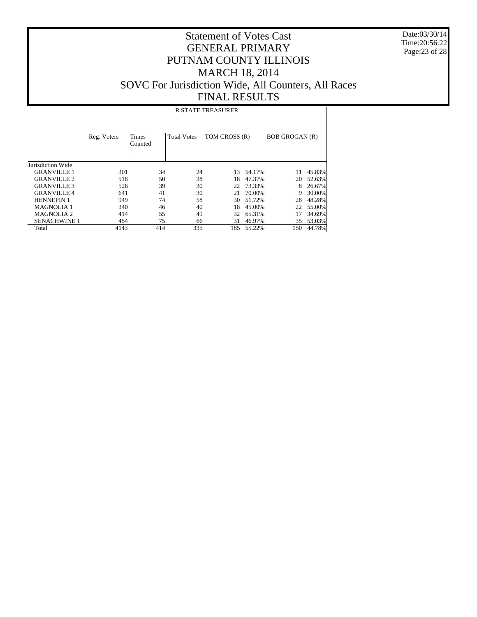Date:03/30/14 Time:20:56:22 Page:23 of 28

## Statement of Votes Cast GENERAL PRIMARY PUTNAM COUNTY ILLINOIS MARCH 18, 2014 SOVC For Jurisdiction Wide, All Counters, All Races FINAL RESULTS

#### R STATE TREASURER

|                     | Reg. Voters | <b>Times</b><br>Counted | <b>Total Votes</b> | TOM CROSS (R) |        | <b>BOB GROGAN (R)</b> |        |
|---------------------|-------------|-------------------------|--------------------|---------------|--------|-----------------------|--------|
| Jurisdiction Wide   |             |                         |                    |               |        |                       |        |
| <b>GRANVILLE 1</b>  | 301         | 34                      | 24                 | 13            | 54.17% | 11                    | 45.83% |
| <b>GRANVILLE 2</b>  | 518         | 50                      | 38                 | 18            | 47.37% | 20                    | 52.63% |
| <b>GRANVILLE 3</b>  | 526         | 39                      | 30                 | 22            | 73.33% |                       | 26.67% |
| <b>GRANVILLE4</b>   | 641         | 41                      | 30                 | 21            | 70.00% | 9                     | 30.00% |
| <b>HENNEPIN 1</b>   | 949         | 74                      | 58                 | 30            | 51.72% | 28                    | 48.28% |
| <b>MAGNOLIA1</b>    | 340         | 46                      | 40                 | 18            | 45.00% | 22                    | 55.00% |
| <b>MAGNOLIA 2</b>   | 414         | 55                      | 49                 | 32            | 65.31% |                       | 34.69% |
| <b>SENACHWINE 1</b> | 454         | 75                      | 66                 | 31            | 46.97% | 35                    | 53.03% |
| Total               | 4143        | 414                     | 335                | 185           | 55.22% | 150                   | 44.78% |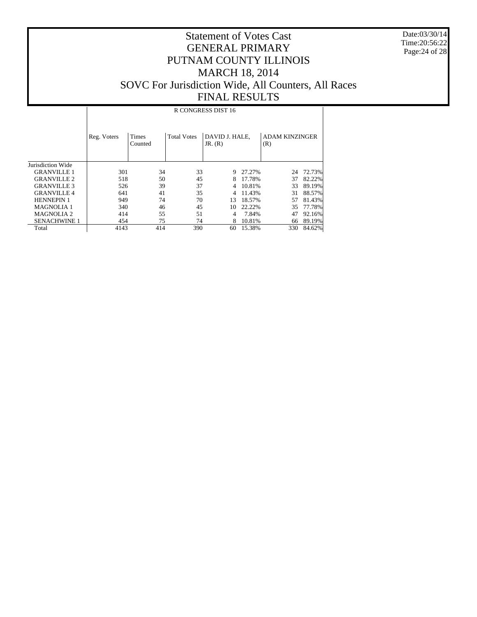Date:03/30/14 Time:20:56:22 Page:24 of 28

## Statement of Votes Cast GENERAL PRIMARY PUTNAM COUNTY ILLINOIS MARCH 18, 2014 SOVC For Jurisdiction Wide, All Counters, All Races FINAL RESULTS

#### R CONGRESS DIST 16

|                     | Reg. Voters | <b>Times</b><br>Counted | <b>Total Votes</b> | DAVID J. HALE.<br>JR. (R) |        | <b>ADAM KINZINGER</b><br>(R) |        |
|---------------------|-------------|-------------------------|--------------------|---------------------------|--------|------------------------------|--------|
| Jurisdiction Wide   |             |                         |                    |                           |        |                              |        |
| <b>GRANVILLE 1</b>  | 301         | 34                      | 33                 | 9                         | 27.27% | 24                           | 72.73% |
| <b>GRANVILLE 2</b>  | 518         | 50                      | 45                 | 8                         | 17.78% | 37                           | 82.22% |
| <b>GRANVILLE 3</b>  | 526         | 39                      | 37                 | 4                         | 10.81% | 33                           | 89.19% |
| <b>GRANVILLE4</b>   | 641         | 41                      | 35                 | 4                         | 11.43% | 31                           | 88.57% |
| <b>HENNEPIN1</b>    | 949         | 74                      | 70                 | 13                        | 18.57% | 57                           | 81.43% |
| <b>MAGNOLIA1</b>    | 340         | 46                      | 45                 | 10                        | 22.22% | 35                           | 77.78% |
| <b>MAGNOLIA2</b>    | 414         | 55                      | 51                 | 4                         | 7.84%  | 47                           | 92.16% |
| <b>SENACHWINE 1</b> | 454         | 75                      | 74                 | 8                         | 10.81% | 66                           | 89.19% |
| Total               | 4143        | 414                     | 390                | 60                        | 15.38% | 330                          | 84.62% |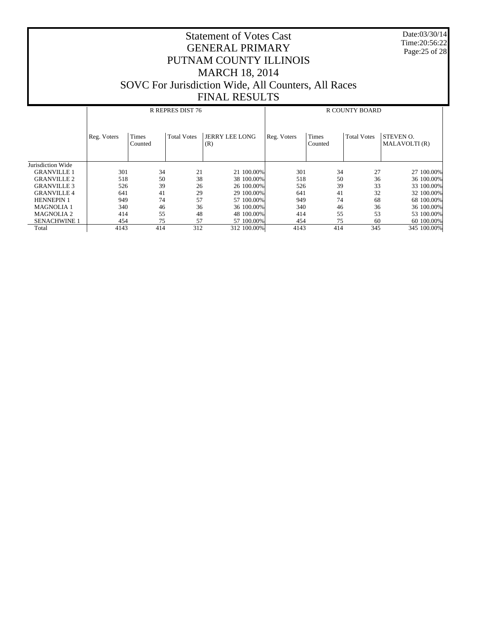Date:03/30/14 Time:20:56:22 Page:25 of 28

|                     |             |                  | R REPRES DIST 76   |                              | <b>R COUNTY BOARD</b> |                         |                    |                            |
|---------------------|-------------|------------------|--------------------|------------------------------|-----------------------|-------------------------|--------------------|----------------------------|
|                     | Reg. Voters | Times<br>Counted | <b>Total Votes</b> | <b>JERRY LEE LONG</b><br>(R) | Reg. Voters           | <b>Times</b><br>Counted | <b>Total Votes</b> | STEVEN O.<br>MALAVOLTI (R) |
| Jurisdiction Wide   |             |                  |                    |                              |                       |                         |                    |                            |
| <b>GRANVILLE 1</b>  | 301         | 34               | 21                 | 21 100,00%                   | 301                   | 34                      | 27                 | 27 100.00%                 |
| <b>GRANVILLE 2</b>  | 518         | 50               | 38                 | 38 100,00%                   | 518                   | 50                      | 36                 | 36 100.00%                 |
| <b>GRANVILLE 3</b>  | 526         | 39               | 26                 | 26 100,00%                   | 526                   | 39                      | 33                 | 33 100.00%                 |
| <b>GRANVILLE 4</b>  | 641         | 41               | 29                 | 29 100,00%                   | 641                   | 41                      | 32                 | 32 100,00%                 |
| <b>HENNEPIN 1</b>   | 949         | 74               | 57                 | 57 100,00%                   | 949                   | 74                      | 68                 | 68 100,00%                 |
| <b>MAGNOLIA 1</b>   | 340         | 46               | 36                 | 36 100,00%                   | 340                   | 46                      | 36                 | 36 100.00%                 |
| <b>MAGNOLIA 2</b>   | 414         | 55               | 48                 | 48 100,00%                   | 414                   | 55                      | 53                 | 53 100,00%                 |
| <b>SENACHWINE 1</b> | 454         | 75               | 57                 | 57 100,00%                   | 454                   | 75                      | 60                 | 60 100.00%                 |
| Total               | 4143        | 414              | 312                | 312 100.00%                  | 4143                  | 414                     | 345                | 345 100.00%                |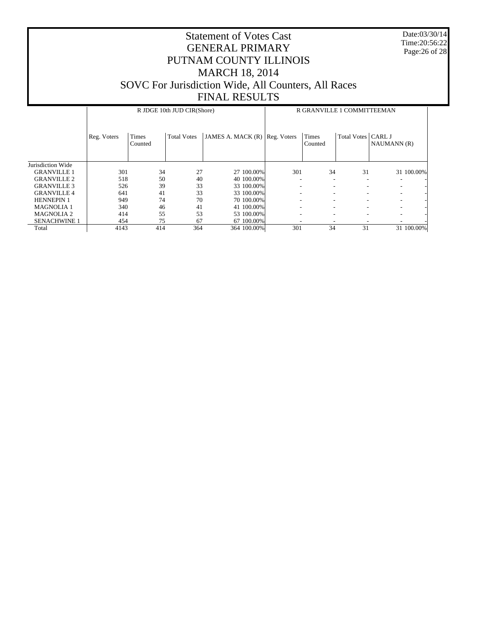Date:03/30/14 Time:20:56:22 Page:26 of 28

|                     |             | R GRANVILLE 1 COMMITTEEMAN |                    |                   |             |                         |                          |             |            |
|---------------------|-------------|----------------------------|--------------------|-------------------|-------------|-------------------------|--------------------------|-------------|------------|
|                     | Reg. Voters | <b>Times</b><br>Counted    | <b>Total Votes</b> | JAMES A. MACK (R) | Reg. Voters | <b>Times</b><br>Counted | Total Votes   CARL J     | NAUMANN (R) |            |
| Jurisdiction Wide   |             |                            |                    |                   |             |                         |                          |             |            |
| <b>GRANVILLE 1</b>  | 301         | 34                         | 27                 | 27 100,00%        | 301         | 34                      | 31                       |             | 31 100.00% |
| <b>GRANVILLE 2</b>  | 518         | 50                         | 40                 | 40 100,00%        |             | ٠                       | $\overline{\phantom{a}}$ |             |            |
| <b>GRANVILLE 3</b>  | 526         | 39                         | 33                 | 33 100.00%        |             | ۰                       |                          |             |            |
| <b>GRANVILLE4</b>   | 641         | 41                         | 33                 | 33 100.00%        |             | ٠                       | $\overline{\phantom{a}}$ | -           |            |
| <b>HENNEPIN 1</b>   | 949         | 74                         | 70                 | 70 100,00%        |             | ۰                       |                          |             |            |
| <b>MAGNOLIA1</b>    | 340         | 46                         | 41                 | 41 100.00%        | ۰           | ۰                       | $\overline{\phantom{a}}$ |             |            |
| <b>MAGNOLIA 2</b>   | 414         | 55                         | 53                 | 53 100.00%        |             | ۰                       |                          |             |            |
| <b>SENACHWINE 1</b> | 454         | 75                         | 67                 | 67 100.00%        |             |                         |                          |             |            |
| Total               | 4143        | 414                        | 364                | 364 100.00%       | 301         | 34                      | 31                       |             | 31 100.00% |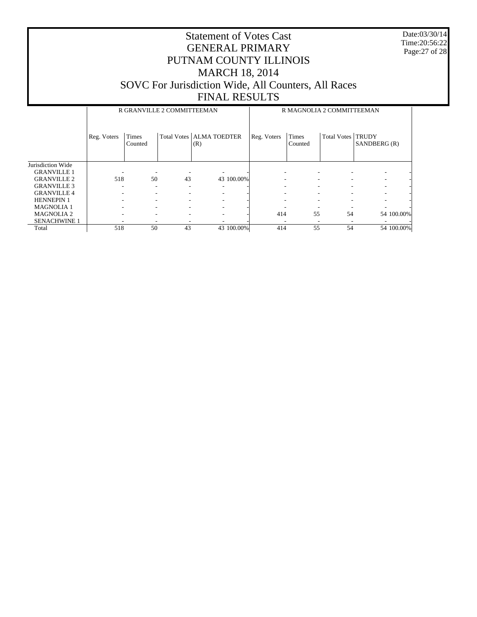Date:03/30/14 Time:20:56:22 Page:27 of 28

|                     |             | R GRANVILLE 2 COMMITTEEMAN |    |                                   | R MAGNOLIA 2 COMMITTEEMAN |                  |                    |                              |
|---------------------|-------------|----------------------------|----|-----------------------------------|---------------------------|------------------|--------------------|------------------------------|
|                     | Reg. Voters | Times<br>Counted           |    | Total Votes   ALMA TOEDTER<br>(R) | Reg. Voters               | Times<br>Counted | <b>Total Votes</b> | <b>TRUDY</b><br>SANDBERG (R) |
| Jurisdiction Wide   |             |                            |    |                                   |                           |                  |                    |                              |
| <b>GRANVILLE 1</b>  |             |                            |    |                                   |                           |                  |                    |                              |
| <b>GRANVILLE 2</b>  | 518         | 50                         | 43 | 43 100.00%                        |                           |                  |                    |                              |
| <b>GRANVILLE 3</b>  |             |                            | ۰  |                                   |                           | ۰.               |                    |                              |
| <b>GRANVILLE 4</b>  |             |                            |    |                                   |                           |                  |                    |                              |
| <b>HENNEPIN 1</b>   |             |                            | ۰  |                                   |                           |                  |                    |                              |
| <b>MAGNOLIA1</b>    |             |                            |    |                                   |                           |                  |                    |                              |
| <b>MAGNOLIA 2</b>   |             |                            | ۰  |                                   | 414                       | 55               | 54                 | 54 100.00%                   |
| <b>SENACHWINE 1</b> |             |                            |    |                                   |                           |                  |                    |                              |
| Total               | 518         | 50                         | 43 | 43 100.00%                        | 414                       | 55               | 54                 | 54 100.00%                   |